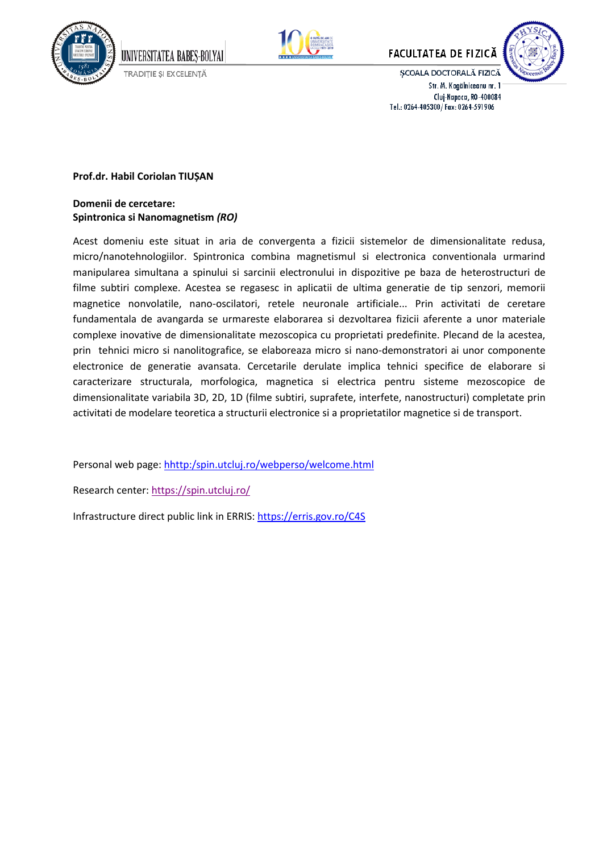



**FACULTATEA DE FIZICĂ** 



ȘCOALA DOCTORALĂ FIZICĂ Str. M. Kogălniceanu nr. 1 Cluj-Napoca, RO-400084 Tel.: 0264-405300/Fax: 0264-591906

## **Prof.dr. Habil Coriolan TIUȘAN**

## **Domenii de cercetare: Spintronica si Nanomagnetism** *(RO)*

UNIVERSITATEA BABES-BOLYAI

TRADIȚIE ȘI EXCELENȚĂ

Acest domeniu este situat in aria de convergenta a fizicii sistemelor de dimensionalitate redusa, micro/nanotehnologiilor. Spintronica combina magnetismul si electronica conventionala urmarind manipularea simultana a spinului si sarcinii electronului in dispozitive pe baza de heterostructuri de filme subtiri complexe. Acestea se regasesc in aplicatii de ultima generatie de tip senzori, memorii magnetice nonvolatile, nano-oscilatori, retele neuronale artificiale... Prin activitati de ceretare fundamentala de avangarda se urmareste elaborarea si dezvoltarea fizicii aferente a unor materiale complexe inovative de dimensionalitate mezoscopica cu proprietati predefinite. Plecand de la acestea, prin tehnici micro si nanolitografice, se elaboreaza micro si nano-demonstratori ai unor componente electronice de generatie avansata. Cercetarile derulate implica tehnici specifice de elaborare si caracterizare structurala, morfologica, magnetica si electrica pentru sisteme mezoscopice de dimensionalitate variabila 3D, 2D, 1D (filme subtiri, suprafete, interfete, nanostructuri) completate prin activitati de modelare teoretica a structurii electronice si a proprietatilor magnetice si de transport.

Personal web page: [hhttp:/spin.utcluj.ro/webperso/welcome.html](http://www.c4s.utcluj.ro/webperso/tiusan/welcome.html)

Research center[: https://spin.utcluj.ro/](https://spin.utcluj.ro/)

Infrastructure direct public link in ERRIS:<https://erris.gov.ro/C4S>